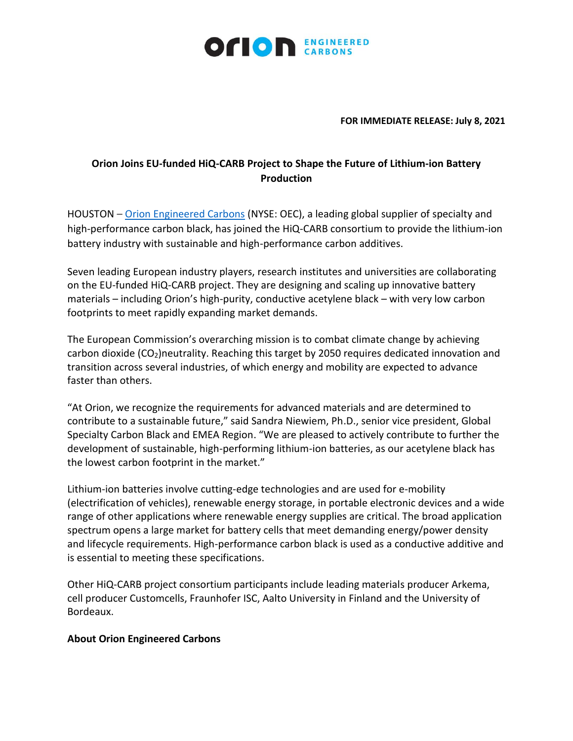

**FOR IMMEDIATE RELEASE: July 8, 2021**

## **Orion Joins EU-funded HiQ-CARB Project to Shape the Future of Lithium-ion Battery Production**

HOUSTON – [Orion Engineered Carbons](https://www.orioncarbons.com/index_en.php) (NYSE: OEC), a leading global supplier of specialty and high-performance carbon black, has joined the HiQ-CARB consortium to provide the lithium-ion battery industry with sustainable and high-performance carbon additives.

Seven leading European industry players, research institutes and universities are collaborating on the EU-funded HiQ-CARB project. They are designing and scaling up innovative battery materials – including Orion's high-purity, conductive acetylene black – with very low carbon footprints to meet rapidly expanding market demands.

The European Commission's overarching mission is to combat climate change by achieving carbon dioxide (CO<sub>2</sub>)neutrality. Reaching this target by 2050 requires dedicated innovation and transition across several industries, of which energy and mobility are expected to advance faster than others.

"At Orion, we recognize the requirements for advanced materials and are determined to contribute to a sustainable future," said Sandra Niewiem, Ph.D., senior vice president, Global Specialty Carbon Black and EMEA Region. "We are pleased to actively contribute to further the development of sustainable, high-performing lithium-ion batteries, as our acetylene black has the lowest carbon footprint in the market."

Lithium-ion batteries involve cutting-edge technologies and are used for e-mobility (electrification of vehicles), renewable energy storage, in portable electronic devices and a wide range of other applications where renewable energy supplies are critical. The broad application spectrum opens a large market for battery cells that meet demanding energy/power density and lifecycle requirements. High-performance carbon black is used as a conductive additive and is essential to meeting these specifications.

Other HiQ-CARB project consortium participants include leading materials producer Arkema, cell producer Customcells, Fraunhofer ISC, Aalto University in Finland and the University of Bordeaux.

## **About Orion Engineered Carbons**